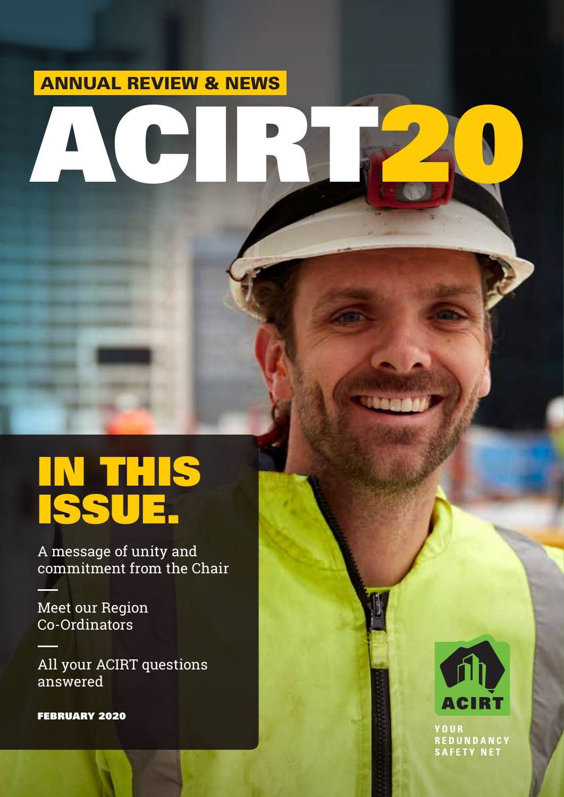### ANNUAL REVIEW & NEWS

# ACIRT20

# IN THIS ISSUE.

A message of unity and commitment from the Chair

Meet our Region Co-Ordinators

All your ACIRT questions answered

FEBRUARY 2020



YOUR **REDUNDANCY** SAFETY NET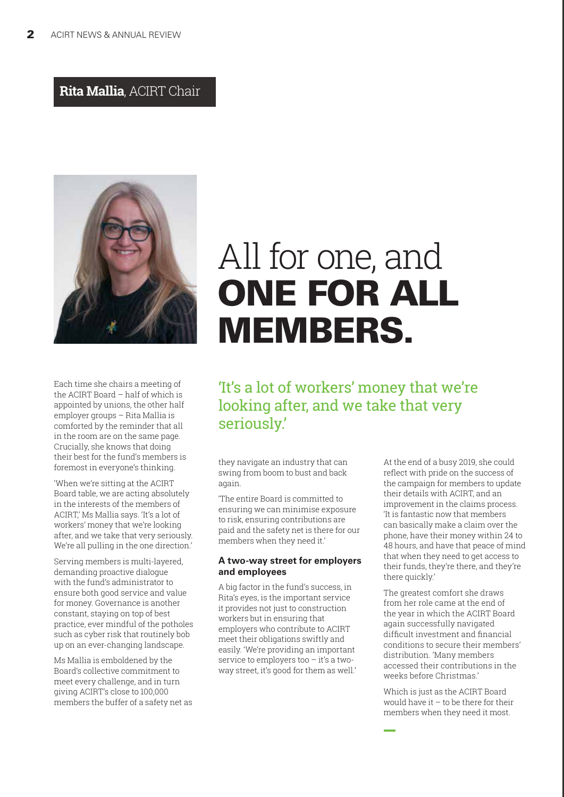### **Rita Mallia**, ACIRT Chair



Each time she chairs a meeting of the ACIRT Board – half of which is appointed by unions, the other half employer groups – Rita Mallia is comforted by the reminder that all in the room are on the same page. Crucially, she knows that doing their best for the fund's members is foremost in everyone's thinking.

'When we're sitting at the ACIRT Board table, we are acting absolutely in the interests of the members of ACIRT,' Ms Mallia says. 'It's a lot of workers' money that we're looking after, and we take that very seriously. We're all pulling in the one direction.'

Serving members is multi-layered, demanding proactive dialogue with the fund's administrator to ensure both good service and value for money. Governance is another constant, staying on top of best practice, ever mindful of the potholes such as cyber risk that routinely bob up on an ever-changing landscape.

Ms Mallia is emboldened by the Board's collective commitment to meet every challenge, and in turn giving ACIRT's close to 100,000 members the buffer of a safety net as

# All for one, and ONE FOR ALL MEMBERS.

'It's a lot of workers' money that we're looking after, and we take that very seriously.'

they navigate an industry that can swing from boom to bust and back again.

'The entire Board is committed to ensuring we can minimise exposure to risk, ensuring contributions are paid and the safety net is there for our members when they need it.'

### **A two-way street for employers and employees**

A big factor in the fund's success, in Rita's eyes, is the important service it provides not just to construction workers but in ensuring that employers who contribute to ACIRT meet their obligations swiftly and easily. 'We're providing an important service to employers too – it's a twoway street, it's good for them as well.' At the end of a busy 2019, she could reflect with pride on the success of the campaign for members to update their details with ACIRT, and an improvement in the claims process. 'It is fantastic now that members can basically make a claim over the phone, have their money within 24 to 48 hours, and have that peace of mind that when they need to get access to their funds, they're there, and they're there quickly.'

The greatest comfort she draws from her role came at the end of the year in which the ACIRT Board again successfully navigated difficult investment and financial conditions to secure their members' distribution. 'Many members accessed their contributions in the weeks before Christmas.'

Which is just as the ACIRT Board would have it  $-$  to be there for their members when they need it most.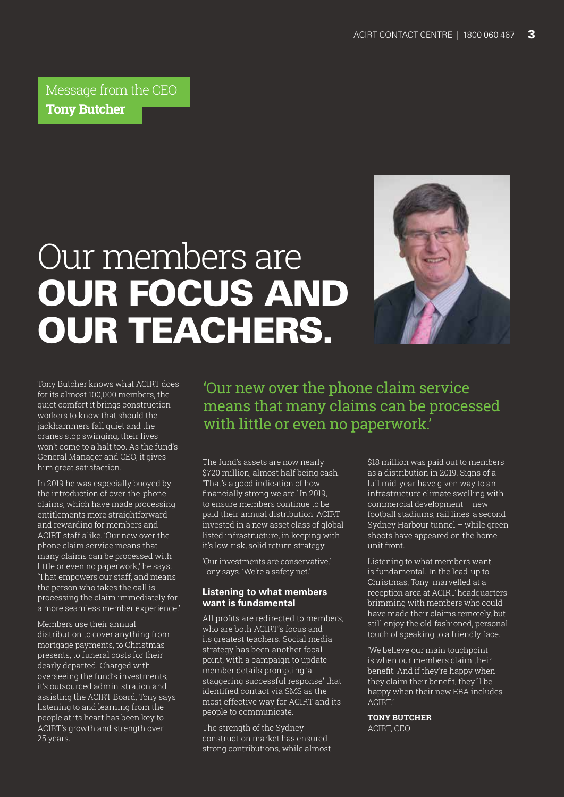Message from the CEO **Tony Butcher**

# Our members are OUR FOCUS AND OUR TEACHERS.



Tony Butcher knows what ACIRT does for its almost 100,000 members, the quiet comfort it brings construction workers to know that should the jackhammers fall quiet and the cranes stop swinging, their lives won't come to a halt too. As the fund's General Manager and CEO, it gives him great satisfaction.

In 2019 he was especially buoyed by the introduction of over-the-phone claims, which have made processing entitlements more straightforward and rewarding for members and ACIRT staff alike. 'Our new over the phone claim service means that many claims can be processed with little or even no paperwork,' he says. 'That empowers our staff, and means the person who takes the call is processing the claim immediately for a more seamless member experience.'

Members use their annual distribution to cover anything from mortgage payments, to Christmas presents, to funeral costs for their dearly departed. Charged with overseeing the fund's investments, it's outsourced administration and assisting the ACIRT Board, Tony says listening to and learning from the people at its heart has been key to ACIRT's growth and strength over 25 years.

'Our new over the phone claim service means that many claims can be processed with little or even no paperwork.'

The fund's assets are now nearly \$720 million, almost half being cash. 'That's a good indication of how financially strong we are.' In 2019, to ensure members continue to be paid their annual distribution, ACIRT invested in a new asset class of global listed infrastructure, in keeping with it's low-risk, solid return strategy.

'Our investments are conservative,' Tony says. 'We're a safety net.'

### **Listening to what members want is fundamental**

All profits are redirected to members, who are both ACIRT's focus and its greatest teachers. Social media strategy has been another focal point, with a campaign to update member details prompting 'a staggering successful response' that identified contact via SMS as the most effective way for ACIRT and its people to communicate.

The strength of the Sydney construction market has ensured strong contributions, while almost \$18 million was paid out to members as a distribution in 2019. Signs of a lull mid-year have given way to an infrastructure climate swelling with commercial development – new football stadiums, rail lines, a second Sydney Harbour tunnel – while green shoots have appeared on the home unit front.

Listening to what members want is fundamental. In the lead-up to Christmas, Tony marvelled at a reception area at ACIRT headquarters brimming with members who could have made their claims remotely, but still enjoy the old-fashioned, personal touch of speaking to a friendly face.

'We believe our main touchpoint is when our members claim their benefit. And if they're happy when they claim their benefit, they'll be happy when their new EBA includes ACIRT.'

**TONY BUTCHER** ACIRT, CEO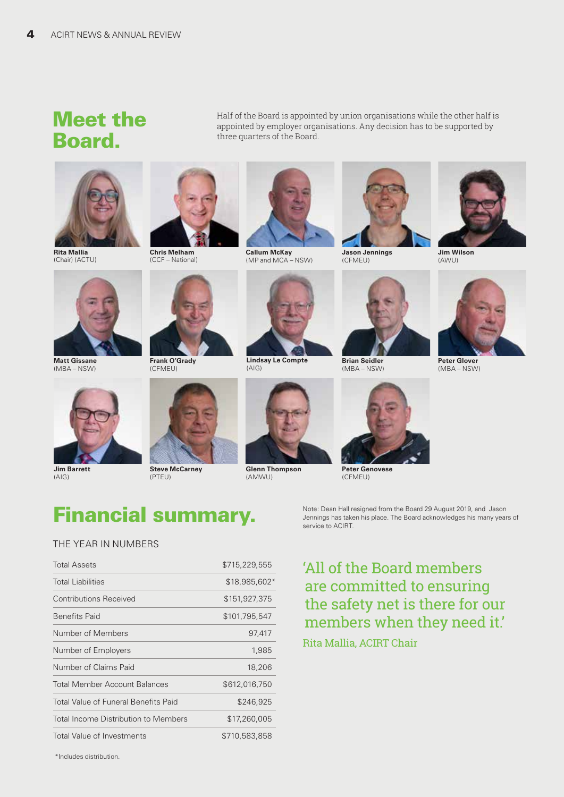### Meet the Board.

Half of the Board is appointed by union organisations while the other half is appointed by employer organisations. Any decision has to be supported by three quarters of the Board.



**Rita Mallia** (Chair) (ACTU)

**Matt Gissane**  (MBA – NSW)

**Jim Barrett**   $(A|G)$ 







**Steve McCarney**  (PTEU)



**Callum McKay**  (MP and MCA – NSW)



**Jason Jennings**  (CFMEU)

**Brian Seidler**  (MBA – NSW)



**Jim Wilson**  (AWU)



**Peter Glover**  (MBA – NSW)





**Lindsay Le Compte** 

**Glenn Thompson**  (AMWU)



Financial summary.

### THE YEAR IN NUMBERS

| <b>Total Assets</b>                         | \$715,229,555 |
|---------------------------------------------|---------------|
| <b>Total Liabilities</b>                    | \$18,985,602* |
| <b>Contributions Received</b>               | \$151,927,375 |
| <b>Benefits Paid</b>                        | \$101,795,547 |
| Number of Members                           | 97,417        |
| Number of Employers                         | 1,985         |
| Number of Claims Paid                       | 18,206        |
| <b>Total Member Account Balances</b>        | \$612,016,750 |
| <b>Total Value of Funeral Benefits Paid</b> | \$246,925     |
| Total Income Distribution to Members        | \$17,260,005  |
| <b>Total Value of Investments</b>           | \$710.583.858 |

service to ACIRT.

Note: Dean Hall resigned from the Board 29 August 2019, and Jason Jennings has taken his place. The Board acknowledges his many years of

### 'All of the Board members are committed to ensuring the safety net is there for our members when they need it.'

### Rita Mallia, ACIRT Chair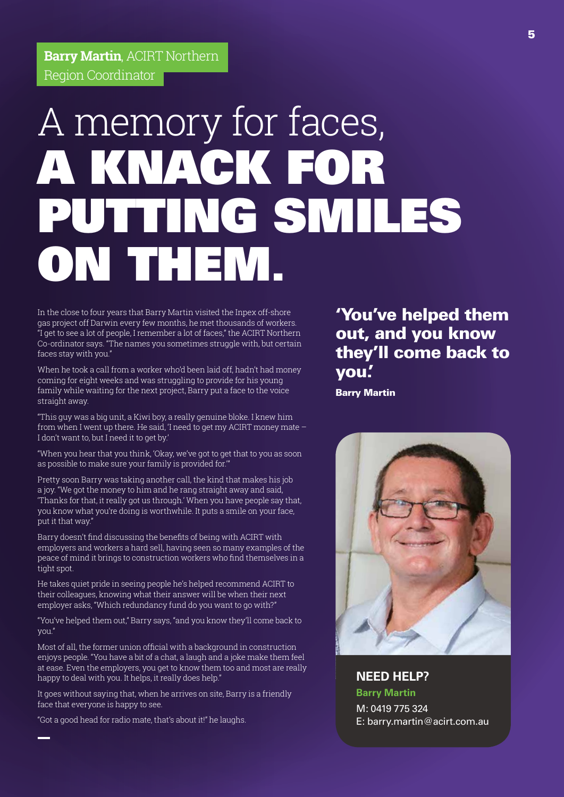**Barry Martin**, ACIRT Northern Region Coordinator

# A memory for faces, A KNACK FOR PUTTING SMILES ON THEM.

In the close to four years that Barry Martin visited the Inpex off-shore gas project off Darwin every few months, he met thousands of workers. "I get to see a lot of people, I remember a lot of faces," the ACIRT Northern Co-ordinator says. "The names you sometimes struggle with, but certain faces stay with you."

When he took a call from a worker who'd been laid off, hadn't had money coming for eight weeks and was struggling to provide for his young family while waiting for the next project, Barry put a face to the voice straight away.

"This guy was a big unit, a Kiwi boy, a really genuine bloke. I knew him from when I went up there. He said, 'I need to get my ACIRT money mate – I don't want to, but I need it to get by.'

"When you hear that you think, 'Okay, we've got to get that to you as soon as possible to make sure your family is provided for.'"

Pretty soon Barry was taking another call, the kind that makes his job a joy. "We got the money to him and he rang straight away and said, 'Thanks for that, it really got us through.' When you have people say that, you know what you're doing is worthwhile. It puts a smile on your face, put it that way."

Barry doesn't find discussing the benefits of being with ACIRT with employers and workers a hard sell, having seen so many examples of the peace of mind it brings to construction workers who find themselves in a tight spot.

He takes quiet pride in seeing people he's helped recommend ACIRT to their colleagues, knowing what their answer will be when their next employer asks, "Which redundancy fund do you want to go with?"

"You've helped them out," Barry says, "and you know they'll come back to you."

Most of all, the former union official with a background in construction enjoys people. "You have a bit of a chat, a laugh and a joke make them feel at ease. Even the employers, you get to know them too and most are really happy to deal with you. It helps, it really does help."

It goes without saying that, when he arrives on site, Barry is a friendly face that everyone is happy to see.

"Got a good head for radio mate, that's about it!" he laughs.

'You've helped them out, and you know they'll come back to you.'

Barry Martin



**NEED HELP? Barry Martin**

M: 0419 775 324 E: barry.martin@acirt.com.au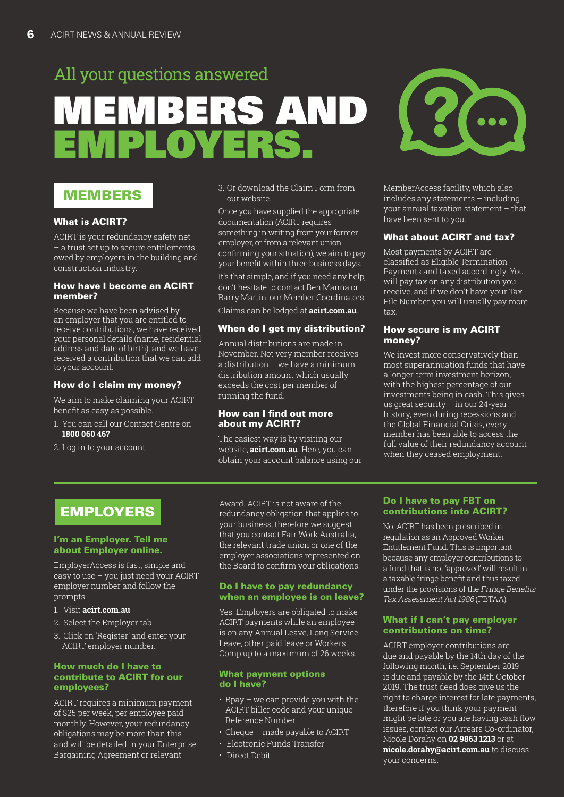# MEMBERS AND EMPLOYERS. All your questions answered

### MEMBERS

### What is ACIRT?

ACIRT is your redundancy safety net – a trust set up to secure entitlements owed by employers in the building and construction industry.

### How have I become an ACIRT member?

Because we have been advised by an employer that you are entitled to receive contributions, we have received your personal details (name, residential address and date of birth), and we have received a contribution that we can add to your account.

#### How do I claim my money?

We aim to make claiming your ACIRT benefit as easy as possible.

- 1. You can call our Contact Centre on **1800 060 467**
- 2. Log in to your account

3. Or download the Claim Form from our website.

Once you have supplied the appropriate documentation (ACIRT requires something in writing from your former employer, or from a relevant union confirming your situation), we aim to pay your benefit within three business days.

It's that simple, and if you need any help, don't hesitate to contact Ben Manna or Barry Martin, our Member Coordinators. Claims can be lodged at **acirt.com.au**.

#### When do I get my distribution?

Annual distributions are made in November. Not very member receives a distribution – we have a minimum distribution amount which usually exceeds the cost per member of running the fund.

### How can I find out more about my ACIRT?

The easiest way is by visiting our website, **acirt.com.au**. Here, you can obtain your account balance using our



MemberAccess facility, which also includes any statements – including your annual taxation statement – that have been sent to you.

### What about ACIRT and tax?

Most payments by ACIRT are classified as Eligible Termination Payments and taxed accordingly. You will pay tax on any distribution you receive, and if we don't have your Tax File Number you will usually pay more tax.

### How secure is my ACIRT money?

We invest more conservatively than most superannuation funds that have a longer-term investment horizon, with the highest percentage of our investments being in cash. This gives us great security – in our 24-year history, even during recessions and the Global Financial Crisis, every member has been able to access the full value of their redundancy account when they ceased employment.

### EMPLOYERS

#### I'm an Employer. Tell me about Employer online.

EmployerAccess is fast, simple and easy to use – you just need your ACIRT employer number and follow the prompts:

- 1. Visit **acirt.com.au**
- 2. Select the Employer tab
- 3. Click on 'Register' and enter your ACIRT employer number.

### How much do I have to contribute to ACIRT for our employees?

ACIRT requires a minimum payment of \$25 per week, per employee paid monthly. However, your redundancy obligations may be more than this and will be detailed in your Enterprise Bargaining Agreement or relevant

Award. ACIRT is not aware of the redundancy obligation that applies to your business, therefore we suggest that you contact Fair Work Australia, the relevant trade union or one of the employer associations represented on the Board to confirm your obligations.

#### Do I have to pay redundancy when an employee is on leave?

Yes. Employers are obligated to make ACIRT payments while an employee is on any Annual Leave, Long Service Leave, other paid leave or Workers Comp up to a maximum of 26 weeks.

#### What payment options do I have?

- Bpay we can provide you with the ACIRT biller code and your unique Reference Number
- Cheque made payable to ACIRT
- Electronic Funds Transfer
- Direct Debit

### Do I have to pay FBT on contributions into ACIRT?

No. ACIRT has been prescribed in regulation as an Approved Worker Entitlement Fund. This is important because any employer contributions to a fund that is not 'approved' will result in a taxable fringe benefit and thus taxed under the provisions of the Fringe Benefits Tax Assessment Act 1986 (FBTAA).

### What if I can't pay employer contributions on time?

ACIRT employer contributions are due and payable by the 14th day of the following month, i.e. September 2019 is due and payable by the 14th October 2019. The trust deed does give us the right to charge interest for late payments, therefore if you think your payment might be late or you are having cash flow issues, contact our Arrears Co-ordinator, Nicole Dorahy on **02 9863 1213** or at **nicole.dorahy@acirt.com.au** to discuss your concerns.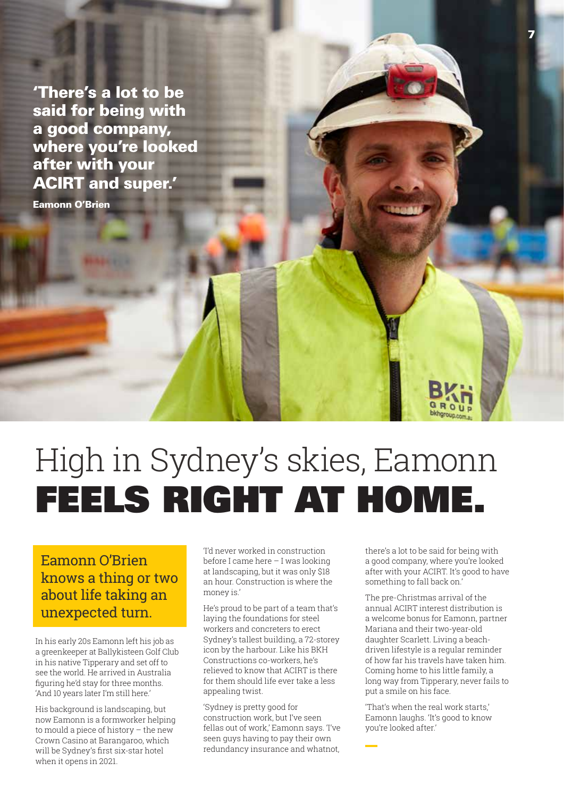'There's a lot to be said for being with a good company, where you're looked after with your ACIRT and super.'

Eamonn O'Brien

# High in Sydney's skies, Eamonn FEELS RIGHT AT HOME.

### Eamonn O'Brien knows a thing or two about life taking an unexpected turn.

In his early 20s Eamonn left his job as a greenkeeper at Ballykisteen Golf Club in his native Tipperary and set off to see the world. He arrived in Australia figuring he'd stay for three months. 'And 10 years later I'm still here.'

His background is landscaping, but now Eamonn is a formworker helping to mould a piece of history – the new Crown Casino at Barangaroo, which will be Sydney's first six-star hotel when it opens in 2021.

'I'd never worked in construction before I came here – I was looking at landscaping, but it was only \$18 an hour. Construction is where the money is.'

He's proud to be part of a team that's laying the foundations for steel workers and concreters to erect Sydney's tallest building, a 72-storey icon by the harbour. Like his BKH Constructions co-workers, he's relieved to know that ACIRT is there for them should life ever take a less appealing twist.

'Sydney is pretty good for construction work, but I've seen fellas out of work,' Eamonn says. 'I've seen guys having to pay their own redundancy insurance and whatnot,

there's a lot to be said for being with a good company, where you're looked after with your ACIRT. It's good to have something to fall back on.'

7

The pre-Christmas arrival of the annual ACIRT interest distribution is a welcome bonus for Eamonn, partner Mariana and their two-year-old daughter Scarlett. Living a beachdriven lifestyle is a regular reminder of how far his travels have taken him. Coming home to his little family, a long way from Tipperary, never fails to put a smile on his face.

'That's when the real work starts,' Eamonn laughs. 'It's good to know you're looked after.'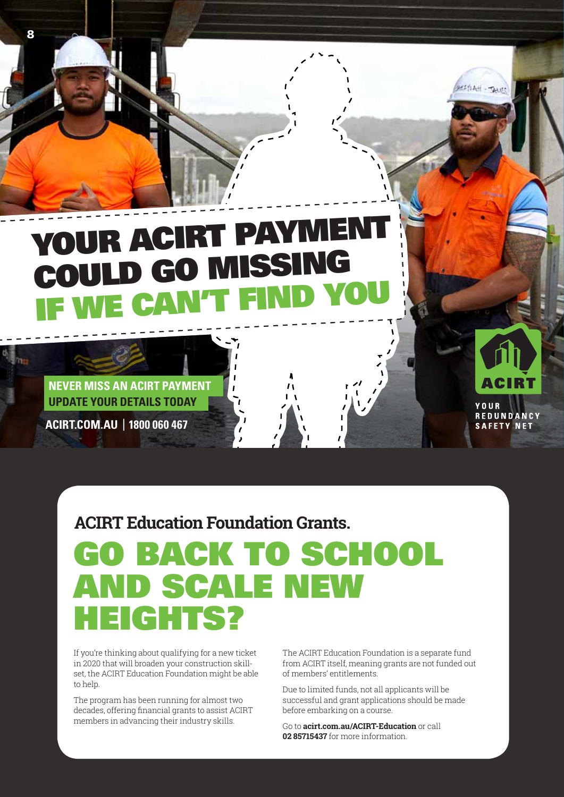# YOUR ACIRT PAYMENT COULD GO MISSING IF WE CAN'T FIND YOU

**UPDATE YOUR DETAILS TODAY NEVER MISS AN ACIRT PAYMENT** 

**ACIRT.COM.AU | 1800 060 467**

8

**ACIRT Education Foundation Grants.**

# GO BACK TO SCHOOL AND SCALE NEW HEIGHTS?

If you're thinking about qualifying for a new ticket in 2020 that will broaden your construction skillset, the ACIRT Education Foundation might be able to help.

The program has been running for almost two decades, offering financial grants to assist ACIRT members in advancing their industry skills.

The ACIRT Education Foundation is a separate fund from ACIRT itself, meaning grants are not funded out of members' entitlements.

YOUR

REDUNDANCY **SAFETY NET** 

Due to limited funds, not all applicants will be successful and grant applications should be made before embarking on a course.

Go to **acirt.com.au/ACIRT-Education** or call **02 85715437** for more information.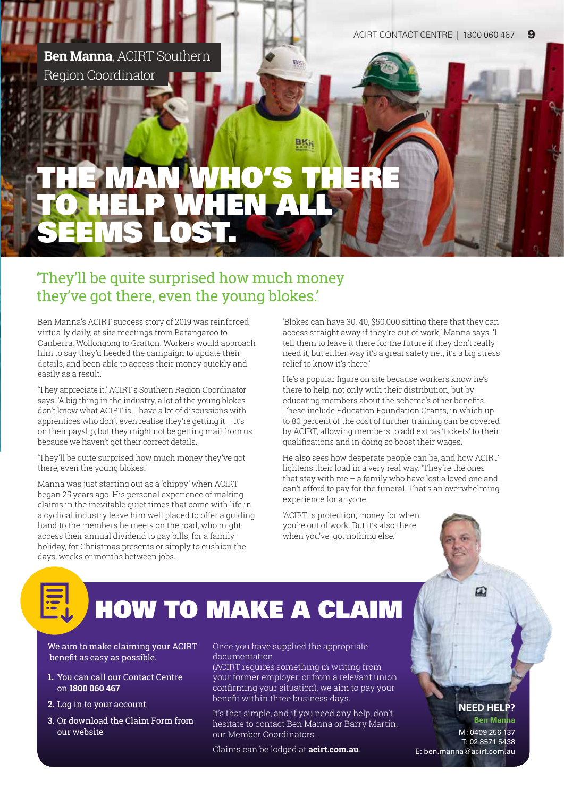

# **WHO** TO HELP SEEMS LOST.

### 'They'll be quite surprised how much money they've got there, even the young blokes.'

Ben Manna's ACIRT success story of 2019 was reinforced virtually daily, at site meetings from Barangaroo to Canberra, Wollongong to Grafton. Workers would approach him to say they'd heeded the campaign to update their details, and been able to access their money quickly and easily as a result.

'They appreciate it,' ACIRT's Southern Region Coordinator says. 'A big thing in the industry, a lot of the young blokes don't know what ACIRT is. I have a lot of discussions with apprentices who don't even realise they're getting it  $-$  it's on their payslip, but they might not be getting mail from us because we haven't got their correct details.

'They'll be quite surprised how much money they've got there, even the young blokes.'

Manna was just starting out as a 'chippy' when ACIRT began 25 years ago. His personal experience of making claims in the inevitable quiet times that come with life in a cyclical industry leave him well placed to offer a guiding hand to the members he meets on the road, who might access their annual dividend to pay bills, for a family holiday, for Christmas presents or simply to cushion the days, weeks or months between jobs.

'Blokes can have 30, 40, \$50,000 sitting there that they can access straight away if they're out of work,' Manna says. 'I tell them to leave it there for the future if they don't really need it, but either way it's a great safety net, it's a big stress relief to know it's there.'

He's a popular figure on site because workers know he's there to help, not only with their distribution, but by educating members about the scheme's other benefits. These include Education Foundation Grants, in which up to 80 percent of the cost of further training can be covered by ACIRT, allowing members to add extras 'tickets' to their qualifications and in doing so boost their wages.

He also sees how desperate people can be, and how ACIRT lightens their load in a very real way. 'They're the ones that stay with me – a family who have lost a loved one and can't afford to pay for the funeral. That's an overwhelming experience for anyone.

'ACIRT is protection, money for when you're out of work. But it's also there when you've got nothing else.'

# HOW TO MAKE A CLAIM

We aim to make claiming your ACIRT benefit as easy as possible.

- **1.** You can call our Contact Centre on **1800 060 467**
- **2.** Log in to your account
- **3.** Or download the Claim Form from our website

Once you have supplied the appropriate documentation

(ACIRT requires something in writing from your former employer, or from a relevant union confirming your situation), we aim to pay your benefit within three business days.

It's that simple, and if you need any help, don't hesitate to contact Ben Manna or Barry Martin, our Member Coordinators.

Claims can be lodged at **acirt.com.au**.

### **NEED HELP?**

ω

**Ben Manna** M: 0409 256 137 T: 02 8571 5438 E: ben.manna@acirt.com.au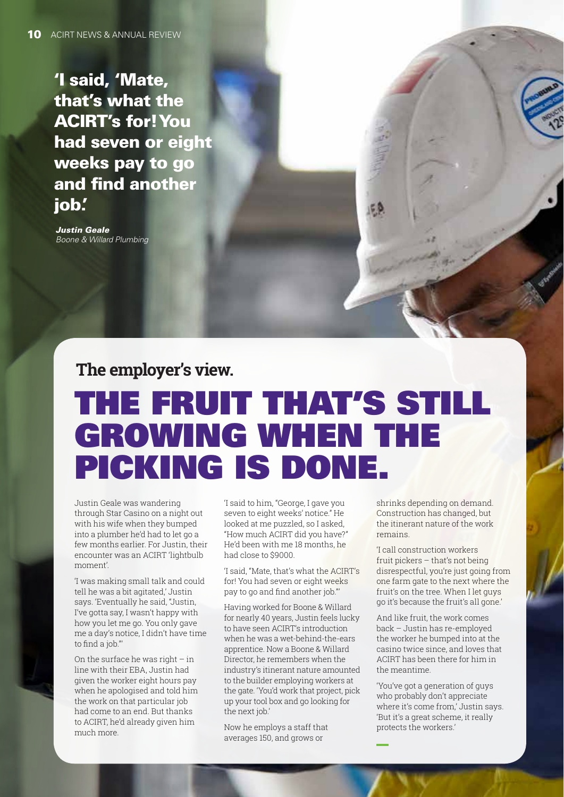'I said, 'Mate, that's what the ACIRT's for! You had seven or eight weeks pay to go and find another iob.

*Justin Geale Boone & Willard Plumbing*

**The employer's view.**

# THE FRUIT THAT'S STILL GROWING WHEN THE PICKING IS DONE.

Justin Geale was wandering through Star Casino on a night out with his wife when they bumped into a plumber he'd had to let go a few months earlier. For Justin, their encounter was an ACIRT 'lightbulb moment'.

'I was making small talk and could tell he was a bit agitated,' Justin says. 'Eventually he said, "Justin, I've gotta say, I wasn't happy with how you let me go. You only gave me a day's notice, I didn't have time to find a job."'

On the surface he was right  $-$  in line with their EBA, Justin had given the worker eight hours pay when he apologised and told him the work on that particular job had come to an end. But thanks to ACIRT, he'd already given him much more.

'I said to him, "George, I gave you seven to eight weeks' notice." He looked at me puzzled, so I asked, "How much ACIRT did you have?" He'd been with me 18 months, he had close to \$9000.

'I said, "Mate, that's what the ACIRT's for! You had seven or eight weeks pay to go and find another job."'

Having worked for Boone & Willard for nearly 40 years, Justin feels lucky to have seen ACIRT's introduction when he was a wet-behind-the-ears apprentice. Now a Boone & Willard Director, he remembers when the industry's itinerant nature amounted to the builder employing workers at the gate. 'You'd work that project, pick up your tool box and go looking for the next job.'

Now he employs a staff that averages 150, and grows or

shrinks depending on demand. Construction has changed, but the itinerant nature of the work remains.

'I call construction workers fruit pickers – that's not being disrespectful, you're just going from one farm gate to the next where the fruit's on the tree. When I let guys go it's because the fruit's all gone.'

And like fruit, the work comes back – Justin has re-employed the worker he bumped into at the casino twice since, and loves that ACIRT has been there for him in the meantime.

'You've got a generation of guys who probably don't appreciate where it's come from,' Justin says. 'But it's a great scheme, it really protects the workers.'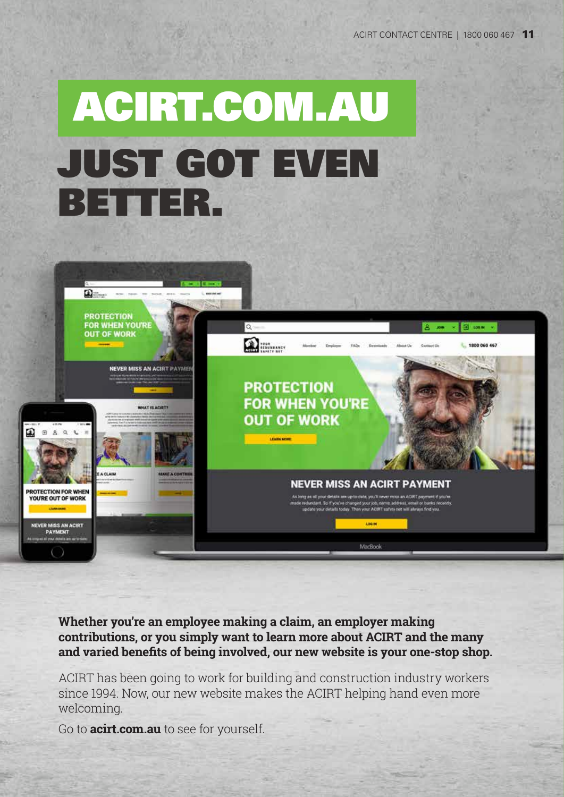# ACIRT.COM.AU JUST GOT EVEN BETTER.



**Whether you're an employee making a claim, an employer making contributions, or you simply want to learn more about ACIRT and the many and varied benefits of being involved, our new website is your one-stop shop.**

ACIRT has been going to work for building and construction industry workers since 1994. Now, our new website makes the ACIRT helping hand even more welcoming.

Go to **acirt.com.au** to see for yourself.